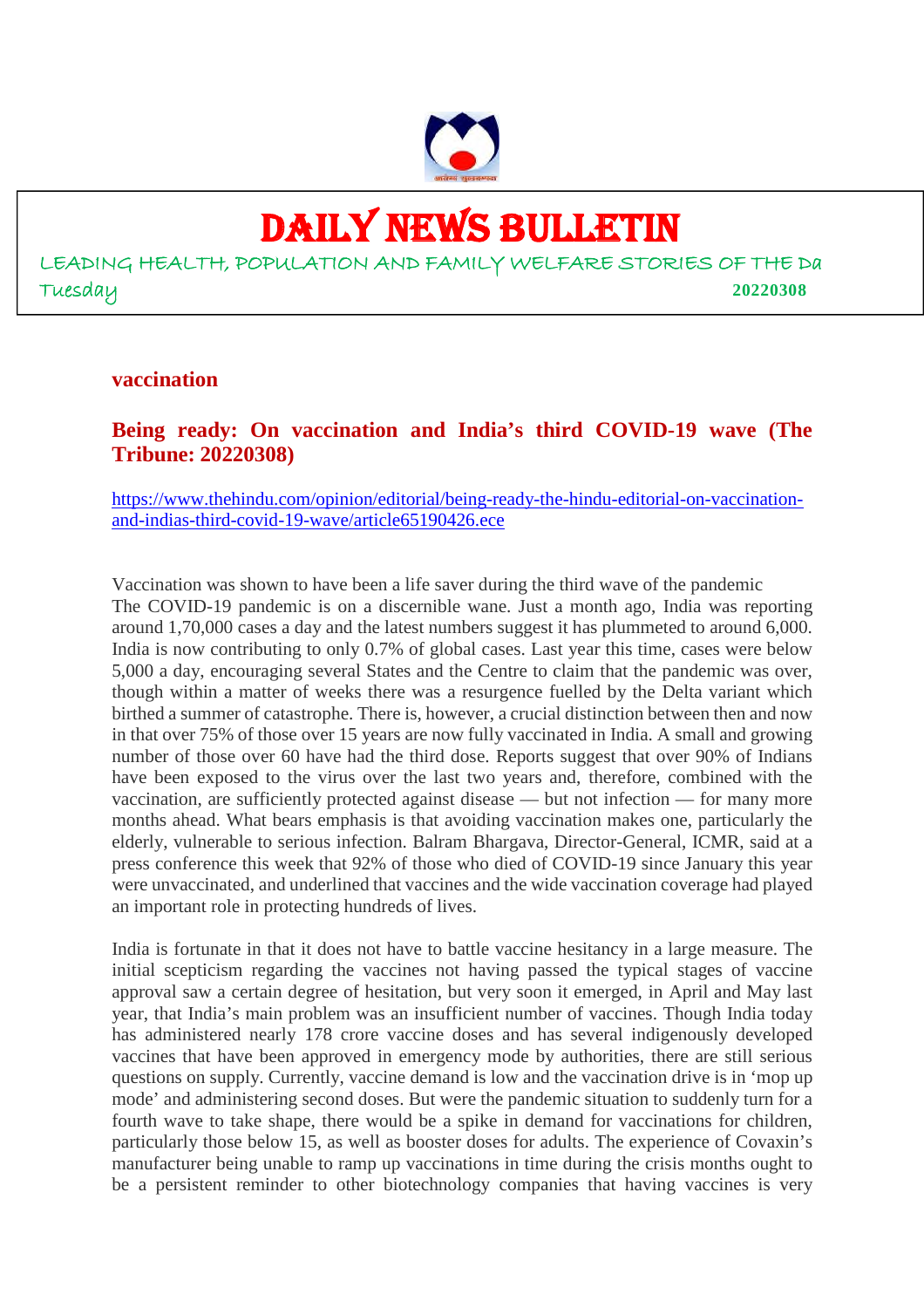

# DAILY NEWS BULLETIN

LEADING HEALTH, POPULATION AND FAMILY WELFARE STORIES OF THE Da Tuesday **20220308**

#### **vaccination**

**Being ready: On vaccination and India's third COVID-19 wave (The Tribune: 20220308)**

https://www.thehindu.com/opinion/editorial/being-ready-the-hindu-editorial-on-vaccinationand-indias-third-covid-19-wave/article65190426.ece

Vaccination was shown to have been a life saver during the third wave of the pandemic The COVID-19 pandemic is on a discernible wane. Just a month ago, India was reporting around 1,70,000 cases a day and the latest numbers suggest it has plummeted to around 6,000. India is now contributing to only 0.7% of global cases. Last year this time, cases were below 5,000 a day, encouraging several States and the Centre to claim that the pandemic was over, though within a matter of weeks there was a resurgence fuelled by the Delta variant which birthed a summer of catastrophe. There is, however, a crucial distinction between then and now in that over 75% of those over 15 years are now fully vaccinated in India. A small and growing number of those over 60 have had the third dose. Reports suggest that over 90% of Indians have been exposed to the virus over the last two years and, therefore, combined with the vaccination, are sufficiently protected against disease — but not infection — for many more months ahead. What bears emphasis is that avoiding vaccination makes one, particularly the elderly, vulnerable to serious infection. Balram Bhargava, Director-General, ICMR, said at a press conference this week that 92% of those who died of COVID-19 since January this year were unvaccinated, and underlined that vaccines and the wide vaccination coverage had played an important role in protecting hundreds of lives.

India is fortunate in that it does not have to battle vaccine hesitancy in a large measure. The initial scepticism regarding the vaccines not having passed the typical stages of vaccine approval saw a certain degree of hesitation, but very soon it emerged, in April and May last year, that India's main problem was an insufficient number of vaccines. Though India today has administered nearly 178 crore vaccine doses and has several indigenously developed vaccines that have been approved in emergency mode by authorities, there are still serious questions on supply. Currently, vaccine demand is low and the vaccination drive is in 'mop up mode' and administering second doses. But were the pandemic situation to suddenly turn for a fourth wave to take shape, there would be a spike in demand for vaccinations for children, particularly those below 15, as well as booster doses for adults. The experience of Covaxin's manufacturer being unable to ramp up vaccinations in time during the crisis months ought to be a persistent reminder to other biotechnology companies that having vaccines is very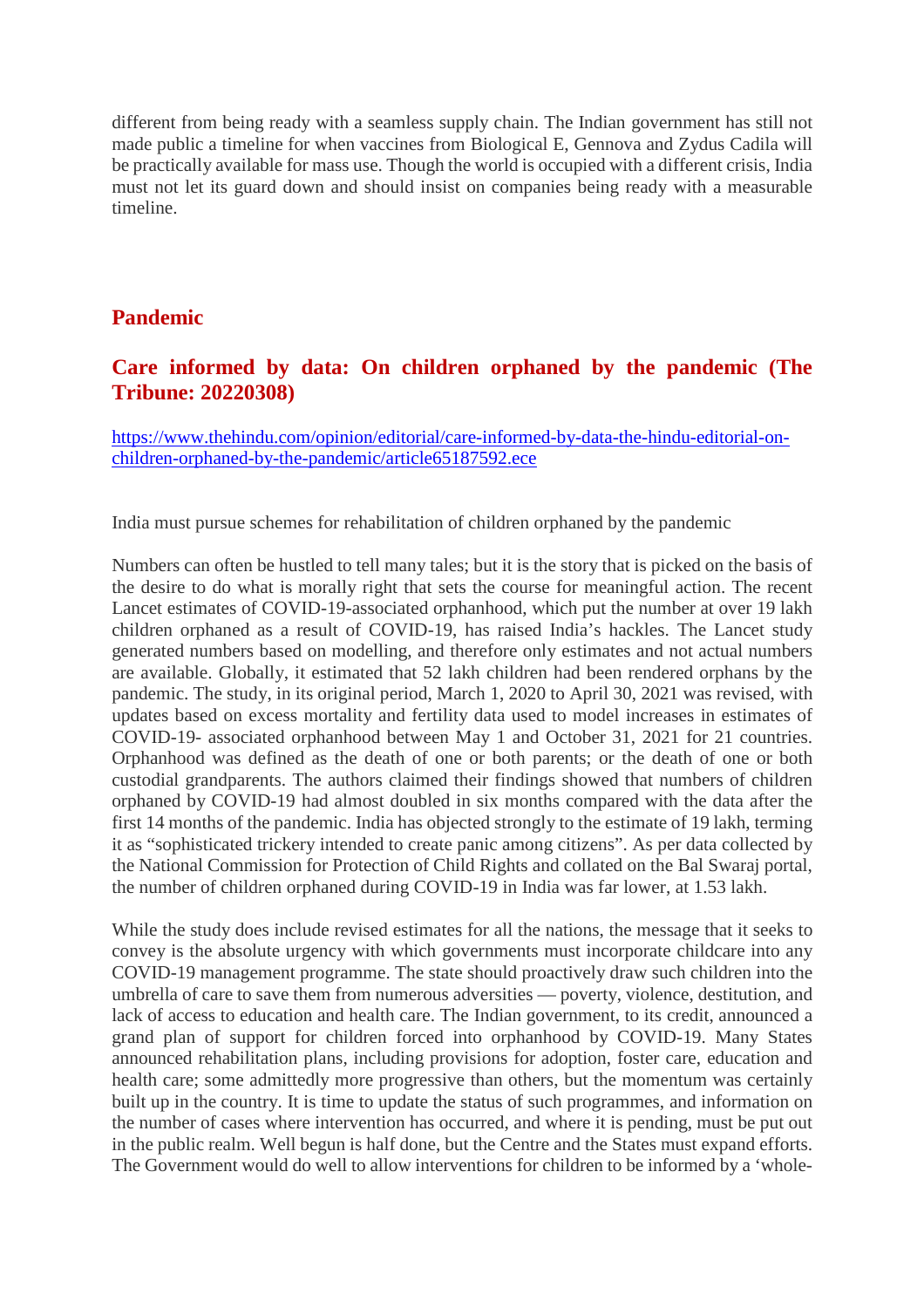different from being ready with a seamless supply chain. The Indian government has still not made public a timeline for when vaccines from Biological E, Gennova and Zydus Cadila will be practically available for mass use. Though the world is occupied with a different crisis, India must not let its guard down and should insist on companies being ready with a measurable timeline.

## **Pandemic**

## **Care informed by data: On children orphaned by the pandemic (The Tribune: 20220308)**

https://www.thehindu.com/opinion/editorial/care-informed-by-data-the-hindu-editorial-onchildren-orphaned-by-the-pandemic/article65187592.ece

India must pursue schemes for rehabilitation of children orphaned by the pandemic

Numbers can often be hustled to tell many tales; but it is the story that is picked on the basis of the desire to do what is morally right that sets the course for meaningful action. The recent Lancet estimates of COVID-19-associated orphanhood, which put the number at over 19 lakh children orphaned as a result of COVID-19, has raised India's hackles. The Lancet study generated numbers based on modelling, and therefore only estimates and not actual numbers are available. Globally, it estimated that 52 lakh children had been rendered orphans by the pandemic. The study, in its original period, March 1, 2020 to April 30, 2021 was revised, with updates based on excess mortality and fertility data used to model increases in estimates of COVID-19- associated orphanhood between May 1 and October 31, 2021 for 21 countries. Orphanhood was defined as the death of one or both parents; or the death of one or both custodial grandparents. The authors claimed their findings showed that numbers of children orphaned by COVID-19 had almost doubled in six months compared with the data after the first 14 months of the pandemic. India has objected strongly to the estimate of 19 lakh, terming it as "sophisticated trickery intended to create panic among citizens". As per data collected by the National Commission for Protection of Child Rights and collated on the Bal Swaraj portal, the number of children orphaned during COVID-19 in India was far lower, at 1.53 lakh.

While the study does include revised estimates for all the nations, the message that it seeks to convey is the absolute urgency with which governments must incorporate childcare into any COVID-19 management programme. The state should proactively draw such children into the umbrella of care to save them from numerous adversities — poverty, violence, destitution, and lack of access to education and health care. The Indian government, to its credit, announced a grand plan of support for children forced into orphanhood by COVID-19. Many States announced rehabilitation plans, including provisions for adoption, foster care, education and health care; some admittedly more progressive than others, but the momentum was certainly built up in the country. It is time to update the status of such programmes, and information on the number of cases where intervention has occurred, and where it is pending, must be put out in the public realm. Well begun is half done, but the Centre and the States must expand efforts. The Government would do well to allow interventions for children to be informed by a 'whole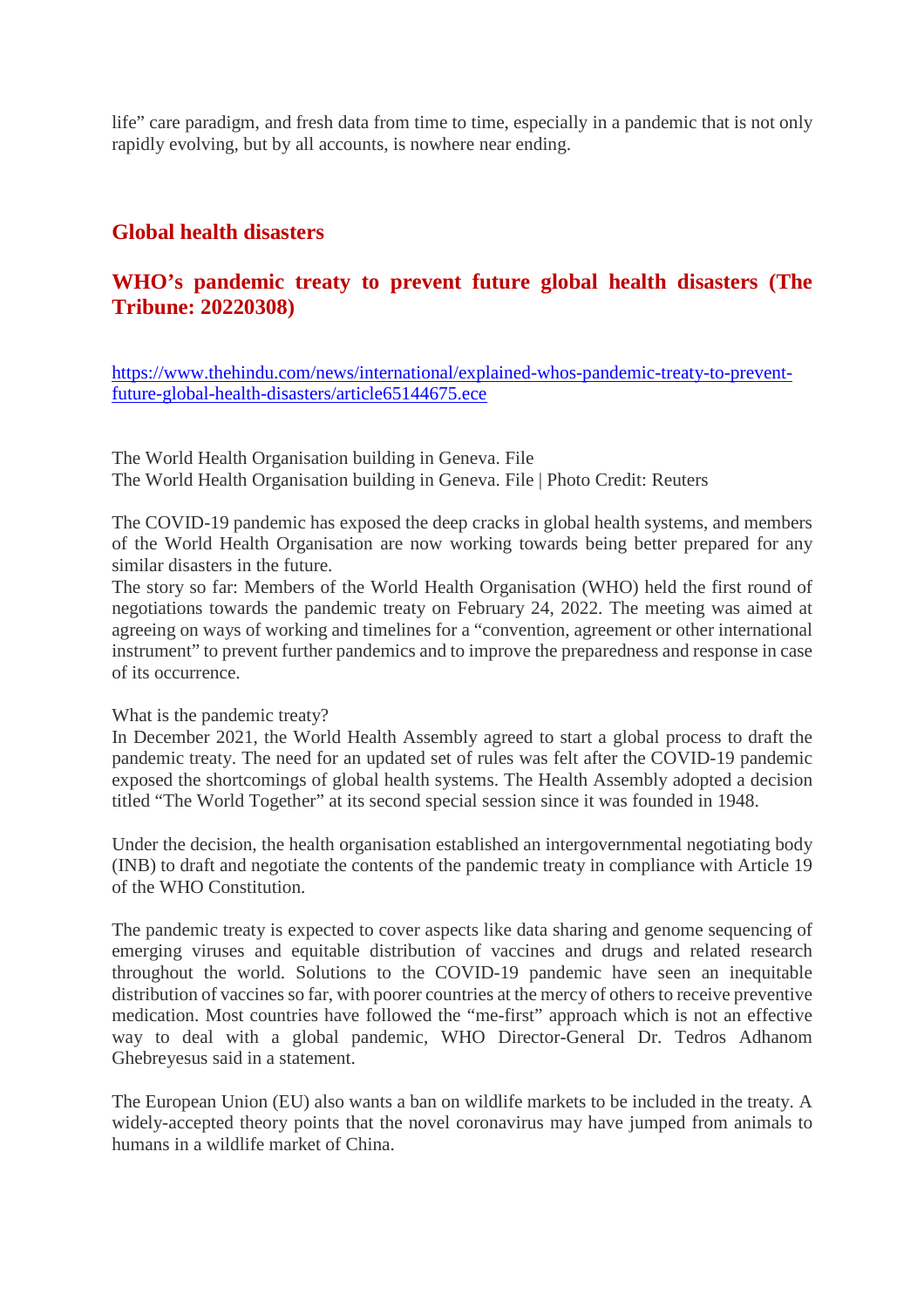life" care paradigm, and fresh data from time to time, especially in a pandemic that is not only rapidly evolving, but by all accounts, is nowhere near ending.

#### **Global health disasters**

## **WHO's pandemic treaty to prevent future global health disasters (The Tribune: 20220308)**

https://www.thehindu.com/news/international/explained-whos-pandemic-treaty-to-preventfuture-global-health-disasters/article65144675.ece

The World Health Organisation building in Geneva. File The World Health Organisation building in Geneva. File | Photo Credit: Reuters

The COVID-19 pandemic has exposed the deep cracks in global health systems, and members of the World Health Organisation are now working towards being better prepared for any similar disasters in the future.

The story so far: Members of the World Health Organisation (WHO) held the first round of negotiations towards the pandemic treaty on February 24, 2022. The meeting was aimed at agreeing on ways of working and timelines for a "convention, agreement or other international instrument" to prevent further pandemics and to improve the preparedness and response in case of its occurrence.

#### What is the pandemic treaty?

In December 2021, the World Health Assembly agreed to start a global process to draft the pandemic treaty. The need for an updated set of rules was felt after the COVID-19 pandemic exposed the shortcomings of global health systems. The Health Assembly adopted a decision titled "The World Together" at its second special session since it was founded in 1948.

Under the decision, the health organisation established an intergovernmental negotiating body (INB) to draft and negotiate the contents of the pandemic treaty in compliance with Article 19 of the WHO Constitution.

The pandemic treaty is expected to cover aspects like data sharing and genome sequencing of emerging viruses and equitable distribution of vaccines and drugs and related research throughout the world. Solutions to the COVID-19 pandemic have seen an inequitable distribution of vaccines so far, with poorer countries at the mercy of others to receive preventive medication. Most countries have followed the "me-first" approach which is not an effective way to deal with a global pandemic, WHO Director-General Dr. Tedros Adhanom Ghebreyesus said in a statement.

The European Union (EU) also wants a ban on wildlife markets to be included in the treaty. A widely-accepted theory points that the novel coronavirus may have jumped from animals to humans in a wildlife market of China.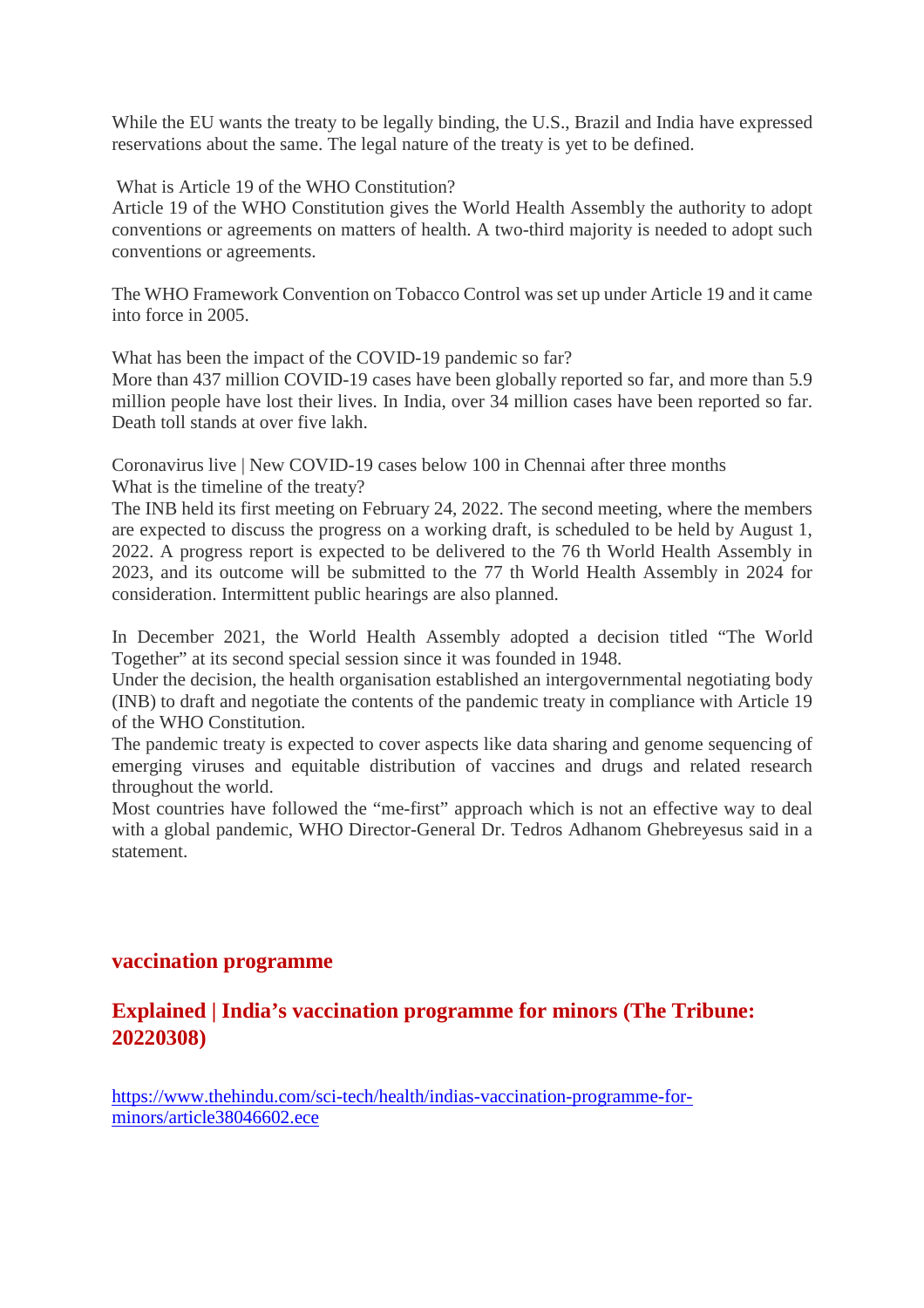While the EU wants the treaty to be legally binding, the U.S., Brazil and India have expressed reservations about the same. The legal nature of the treaty is yet to be defined.

What is Article 19 of the WHO Constitution?

Article 19 of the WHO Constitution gives the World Health Assembly the authority to adopt conventions or agreements on matters of health. A two-third majority is needed to adopt such conventions or agreements.

The WHO Framework Convention on Tobacco Control was set up under Article 19 and it came into force in 2005.

What has been the impact of the COVID-19 pandemic so far?

More than 437 million COVID-19 cases have been globally reported so far, and more than 5.9 million people have lost their lives. In India, over 34 million cases have been reported so far. Death toll stands at over five lakh.

Coronavirus live | New COVID-19 cases below 100 in Chennai after three months What is the timeline of the treaty?

The INB held its first meeting on February 24, 2022. The second meeting, where the members are expected to discuss the progress on a working draft, is scheduled to be held by August 1, 2022. A progress report is expected to be delivered to the 76 th World Health Assembly in 2023, and its outcome will be submitted to the 77 th World Health Assembly in 2024 for consideration. Intermittent public hearings are also planned.

In December 2021, the World Health Assembly adopted a decision titled "The World Together" at its second special session since it was founded in 1948.

Under the decision, the health organisation established an intergovernmental negotiating body (INB) to draft and negotiate the contents of the pandemic treaty in compliance with Article 19 of the WHO Constitution.

The pandemic treaty is expected to cover aspects like data sharing and genome sequencing of emerging viruses and equitable distribution of vaccines and drugs and related research throughout the world.

Most countries have followed the "me-first" approach which is not an effective way to deal with a global pandemic, WHO Director-General Dr. Tedros Adhanom Ghebreyesus said in a statement.

#### **vaccination programme**

## **Explained | India's vaccination programme for minors (The Tribune: 20220308)**

https://www.thehindu.com/sci-tech/health/indias-vaccination-programme-forminors/article38046602.ece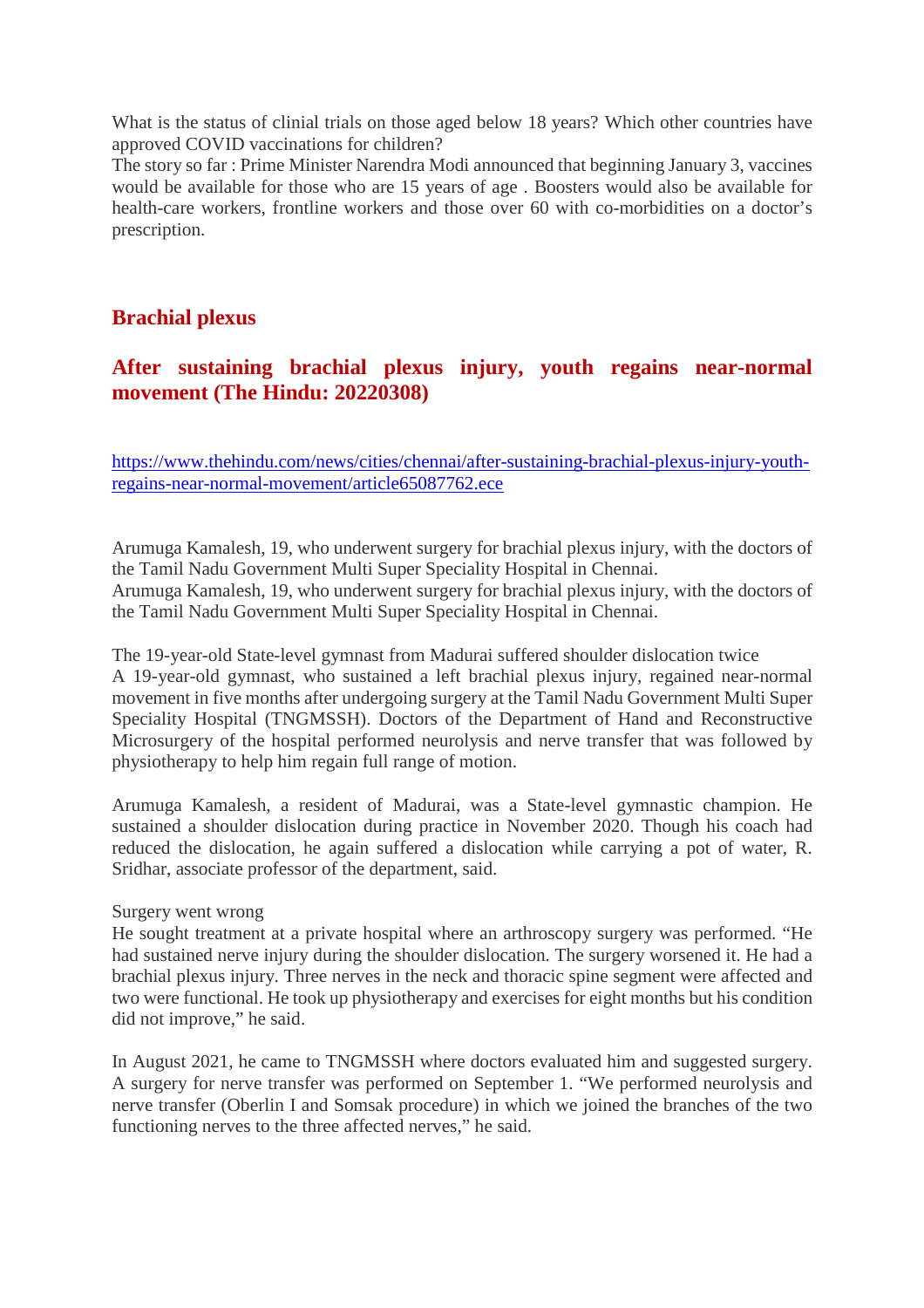What is the status of clinial trials on those aged below 18 years? Which other countries have approved COVID vaccinations for children?

The story so far : Prime Minister Narendra Modi announced that beginning January 3, vaccines would be available for those who are 15 years of age . Boosters would also be available for health-care workers, frontline workers and those over 60 with co-morbidities on a doctor's prescription.

## **Brachial plexus**

#### **After sustaining brachial plexus injury, youth regains near-normal movement (The Hindu: 20220308)**

https://www.thehindu.com/news/cities/chennai/after-sustaining-brachial-plexus-injury-youthregains-near-normal-movement/article65087762.ece

Arumuga Kamalesh, 19, who underwent surgery for brachial plexus injury, with the doctors of the Tamil Nadu Government Multi Super Speciality Hospital in Chennai. Arumuga Kamalesh, 19, who underwent surgery for brachial plexus injury, with the doctors of the Tamil Nadu Government Multi Super Speciality Hospital in Chennai.

The 19-year-old State-level gymnast from Madurai suffered shoulder dislocation twice A 19-year-old gymnast, who sustained a left brachial plexus injury, regained near-normal movement in five months after undergoing surgery at the Tamil Nadu Government Multi Super Speciality Hospital (TNGMSSH). Doctors of the Department of Hand and Reconstructive Microsurgery of the hospital performed neurolysis and nerve transfer that was followed by physiotherapy to help him regain full range of motion.

Arumuga Kamalesh, a resident of Madurai, was a State-level gymnastic champion. He sustained a shoulder dislocation during practice in November 2020. Though his coach had reduced the dislocation, he again suffered a dislocation while carrying a pot of water, R. Sridhar, associate professor of the department, said.

#### Surgery went wrong

He sought treatment at a private hospital where an arthroscopy surgery was performed. "He had sustained nerve injury during the shoulder dislocation. The surgery worsened it. He had a brachial plexus injury. Three nerves in the neck and thoracic spine segment were affected and two were functional. He took up physiotherapy and exercises for eight months but his condition did not improve," he said.

In August 2021, he came to TNGMSSH where doctors evaluated him and suggested surgery. A surgery for nerve transfer was performed on September 1. "We performed neurolysis and nerve transfer (Oberlin I and Somsak procedure) in which we joined the branches of the two functioning nerves to the three affected nerves," he said.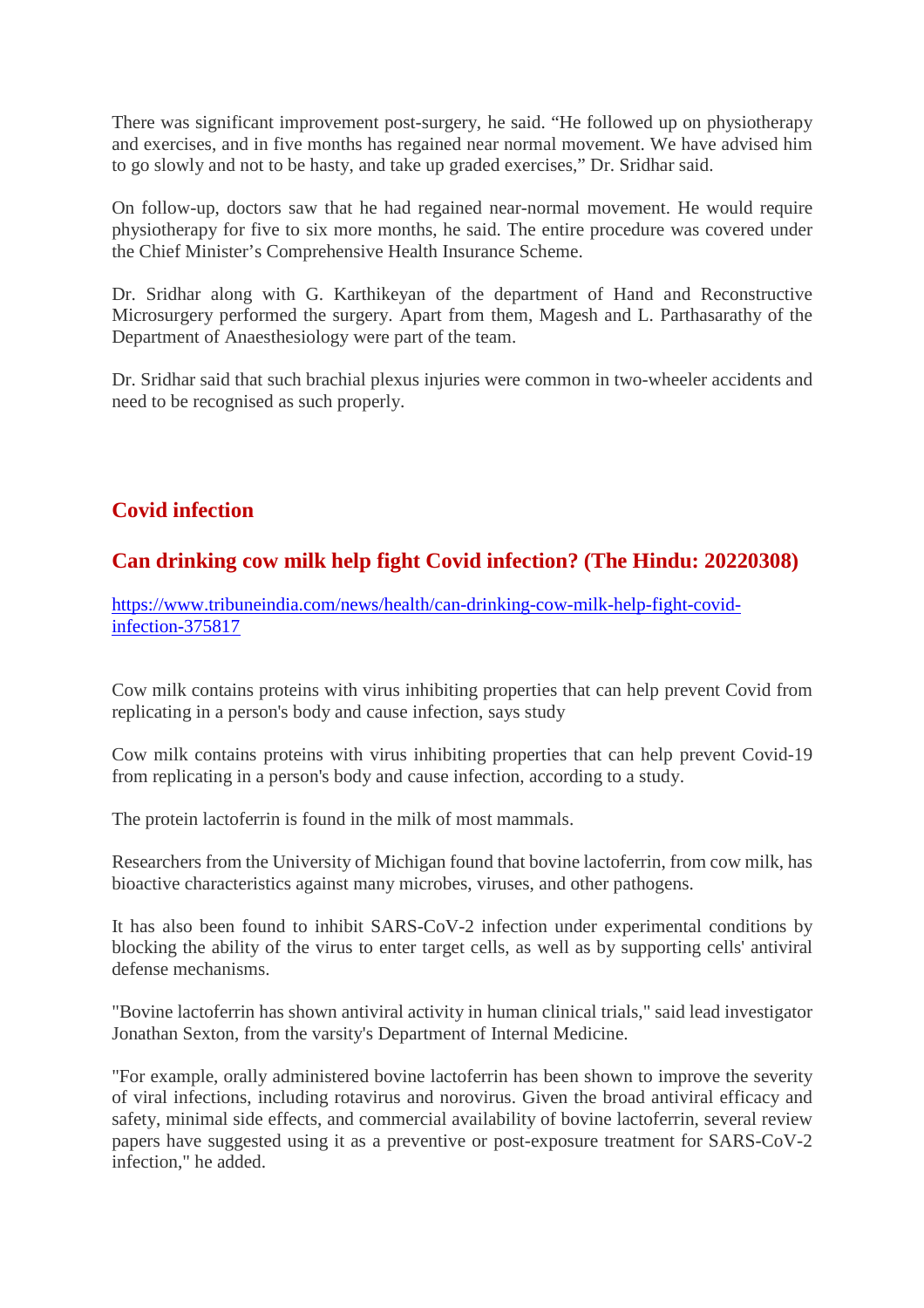There was significant improvement post-surgery, he said. "He followed up on physiotherapy and exercises, and in five months has regained near normal movement. We have advised him to go slowly and not to be hasty, and take up graded exercises," Dr. Sridhar said.

On follow-up, doctors saw that he had regained near-normal movement. He would require physiotherapy for five to six more months, he said. The entire procedure was covered under the Chief Minister's Comprehensive Health Insurance Scheme.

Dr. Sridhar along with G. Karthikeyan of the department of Hand and Reconstructive Microsurgery performed the surgery. Apart from them, Magesh and L. Parthasarathy of the Department of Anaesthesiology were part of the team.

Dr. Sridhar said that such brachial plexus injuries were common in two-wheeler accidents and need to be recognised as such properly.

# **Covid infection**

# **Can drinking cow milk help fight Covid infection? (The Hindu: 20220308)**

https://www.tribuneindia.com/news/health/can-drinking-cow-milk-help-fight-covidinfection-375817

Cow milk contains proteins with virus inhibiting properties that can help prevent Covid from replicating in a person's body and cause infection, says study

Cow milk contains proteins with virus inhibiting properties that can help prevent Covid-19 from replicating in a person's body and cause infection, according to a study.

The protein lactoferrin is found in the milk of most mammals.

Researchers from the University of Michigan found that bovine lactoferrin, from cow milk, has bioactive characteristics against many microbes, viruses, and other pathogens.

It has also been found to inhibit SARS-CoV-2 infection under experimental conditions by blocking the ability of the virus to enter target cells, as well as by supporting cells' antiviral defense mechanisms.

"Bovine lactoferrin has shown antiviral activity in human clinical trials," said lead investigator Jonathan Sexton, from the varsity's Department of Internal Medicine.

"For example, orally administered bovine lactoferrin has been shown to improve the severity of viral infections, including rotavirus and norovirus. Given the broad antiviral efficacy and safety, minimal side effects, and commercial availability of bovine lactoferrin, several review papers have suggested using it as a preventive or post-exposure treatment for SARS-CoV-2 infection," he added.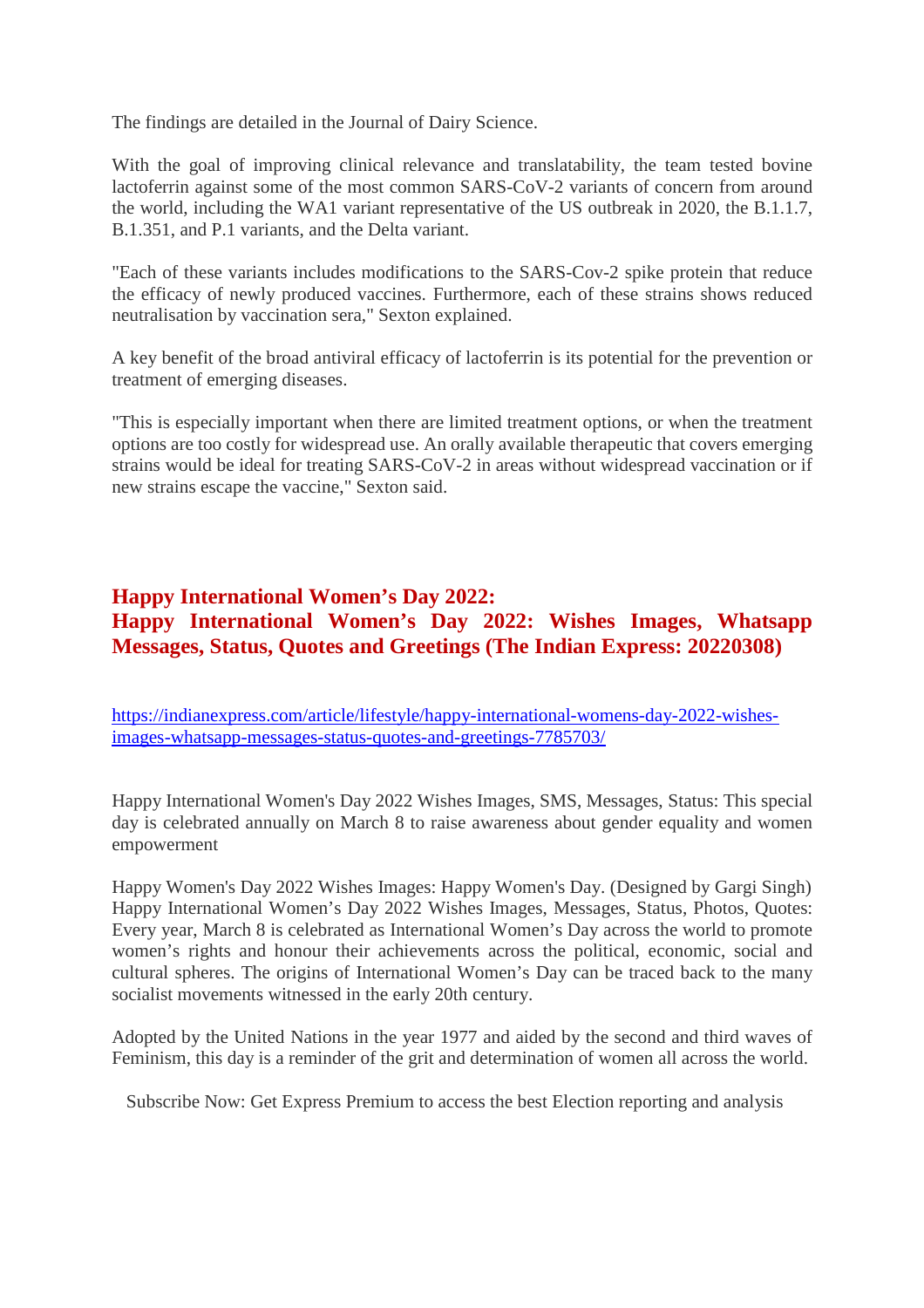The findings are detailed in the Journal of Dairy Science.

With the goal of improving clinical relevance and translatability, the team tested bovine lactoferrin against some of the most common SARS-CoV-2 variants of concern from around the world, including the WA1 variant representative of the US outbreak in 2020, the B.1.1.7, B.1.351, and P.1 variants, and the Delta variant.

"Each of these variants includes modifications to the SARS-Cov-2 spike protein that reduce the efficacy of newly produced vaccines. Furthermore, each of these strains shows reduced neutralisation by vaccination sera," Sexton explained.

A key benefit of the broad antiviral efficacy of lactoferrin is its potential for the prevention or treatment of emerging diseases.

"This is especially important when there are limited treatment options, or when the treatment options are too costly for widespread use. An orally available therapeutic that covers emerging strains would be ideal for treating SARS-CoV-2 in areas without widespread vaccination or if new strains escape the vaccine," Sexton said.

## **Happy International Women's Day 2022: Happy International Women's Day 2022: Wishes Images, Whatsapp Messages, Status, Quotes and Greetings (The Indian Express: 20220308)**

https://indianexpress.com/article/lifestyle/happy-international-womens-day-2022-wishesimages-whatsapp-messages-status-quotes-and-greetings-7785703/

Happy International Women's Day 2022 Wishes Images, SMS, Messages, Status: This special day is celebrated annually on March 8 to raise awareness about gender equality and women empowerment

Happy Women's Day 2022 Wishes Images: Happy Women's Day. (Designed by Gargi Singh) Happy International Women's Day 2022 Wishes Images, Messages, Status, Photos, Quotes: Every year, March 8 is celebrated as International Women's Day across the world to promote women's rights and honour their achievements across the political, economic, social and cultural spheres. The origins of International Women's Day can be traced back to the many socialist movements witnessed in the early 20th century.

Adopted by the United Nations in the year 1977 and aided by the second and third waves of Feminism, this day is a reminder of the grit and determination of women all across the world.

Subscribe Now: Get Express Premium to access the best Election reporting and analysis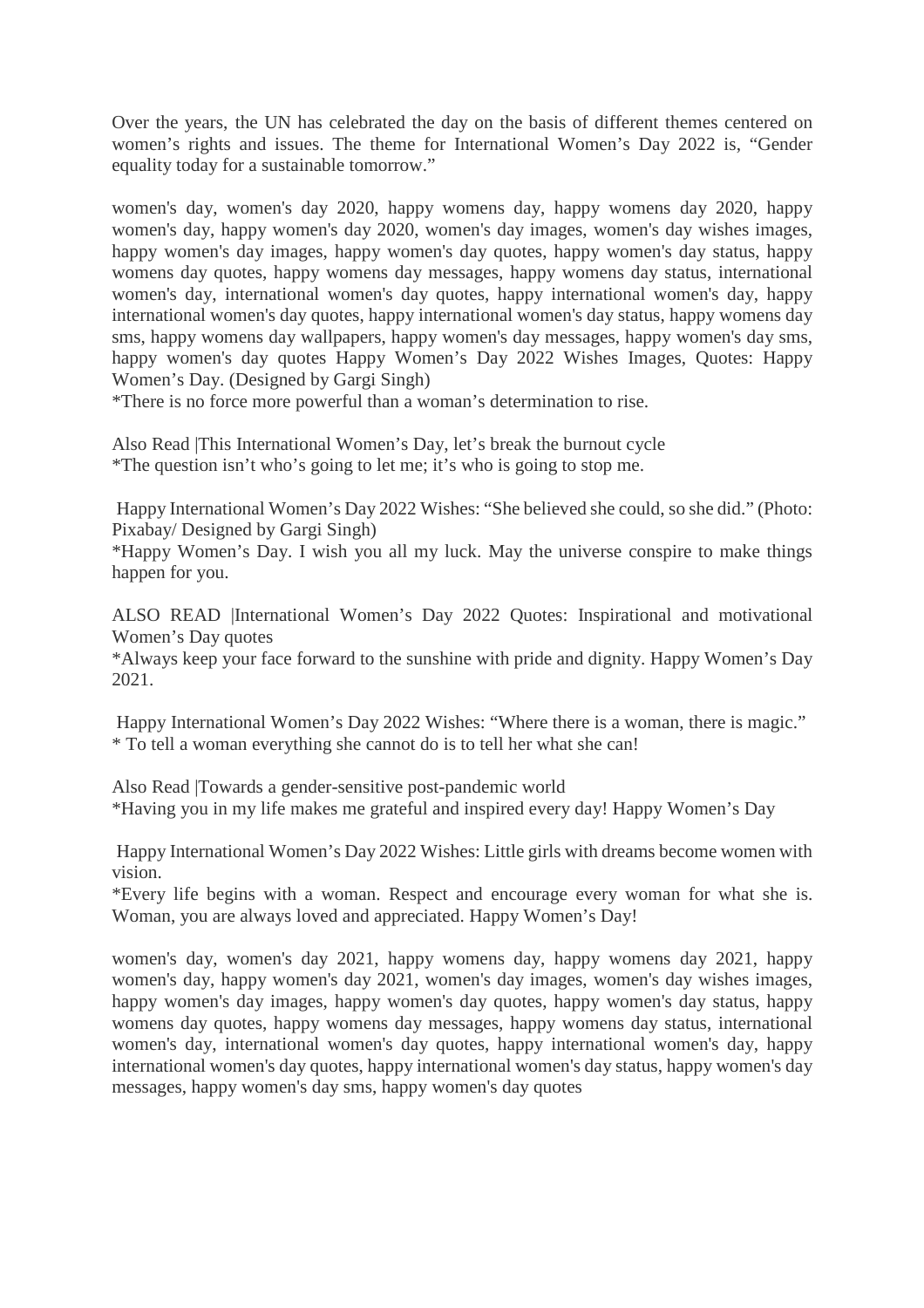Over the years, the UN has celebrated the day on the basis of different themes centered on women's rights and issues. The theme for International Women's Day 2022 is, "Gender equality today for a sustainable tomorrow."

women's day, women's day 2020, happy womens day, happy womens day 2020, happy women's day, happy women's day 2020, women's day images, women's day wishes images, happy women's day images, happy women's day quotes, happy women's day status, happy womens day quotes, happy womens day messages, happy womens day status, international women's day, international women's day quotes, happy international women's day, happy international women's day quotes, happy international women's day status, happy womens day sms, happy womens day wallpapers, happy women's day messages, happy women's day sms, happy women's day quotes Happy Women's Day 2022 Wishes Images, Quotes: Happy Women's Day. (Designed by Gargi Singh)

\*There is no force more powerful than a woman's determination to rise.

Also Read |This International Women's Day, let's break the burnout cycle \*The question isn't who's going to let me; it's who is going to stop me.

Happy International Women's Day 2022 Wishes: "She believed she could, so she did." (Photo: Pixabay/ Designed by Gargi Singh)

\*Happy Women's Day. I wish you all my luck. May the universe conspire to make things happen for you.

ALSO READ |International Women's Day 2022 Quotes: Inspirational and motivational Women's Day quotes

\*Always keep your face forward to the sunshine with pride and dignity. Happy Women's Day 2021.

Happy International Women's Day 2022 Wishes: "Where there is a woman, there is magic." \* To tell a woman everything she cannot do is to tell her what she can!

Also Read |Towards a gender-sensitive post-pandemic world \*Having you in my life makes me grateful and inspired every day! Happy Women's Day

Happy International Women's Day 2022 Wishes: Little girls with dreams become women with vision.

\*Every life begins with a woman. Respect and encourage every woman for what she is. Woman, you are always loved and appreciated. Happy Women's Day!

women's day, women's day 2021, happy womens day, happy womens day 2021, happy women's day, happy women's day 2021, women's day images, women's day wishes images, happy women's day images, happy women's day quotes, happy women's day status, happy womens day quotes, happy womens day messages, happy womens day status, international women's day, international women's day quotes, happy international women's day, happy international women's day quotes, happy international women's day status, happy women's day messages, happy women's day sms, happy women's day quotes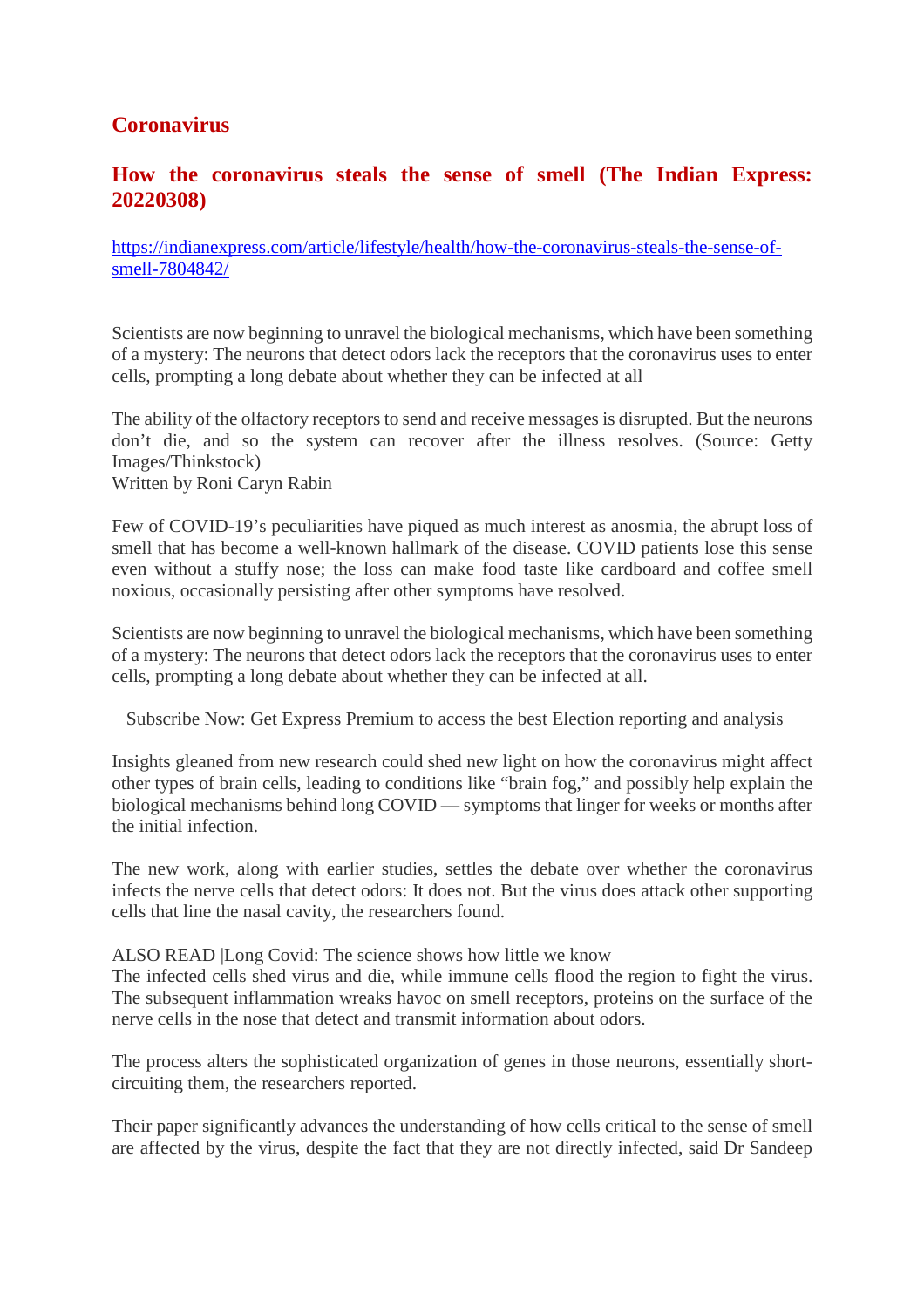# **Coronavirus**

#### **How the coronavirus steals the sense of smell (The Indian Express: 20220308)**

https://indianexpress.com/article/lifestyle/health/how-the-coronavirus-steals-the-sense-ofsmell-7804842/

Scientists are now beginning to unravel the biological mechanisms, which have been something of a mystery: The neurons that detect odors lack the receptors that the coronavirus uses to enter cells, prompting a long debate about whether they can be infected at all

The ability of the olfactory receptors to send and receive messages is disrupted. But the neurons don't die, and so the system can recover after the illness resolves. (Source: Getty Images/Thinkstock) Written by Roni Caryn Rabin

Few of COVID-19's peculiarities have piqued as much interest as anosmia, the abrupt loss of smell that has become a well-known hallmark of the disease. COVID patients lose this sense even without a stuffy nose; the loss can make food taste like cardboard and coffee smell noxious, occasionally persisting after other symptoms have resolved.

Scientists are now beginning to unravel the biological mechanisms, which have been something of a mystery: The neurons that detect odors lack the receptors that the coronavirus uses to enter cells, prompting a long debate about whether they can be infected at all.

Subscribe Now: Get Express Premium to access the best Election reporting and analysis

Insights gleaned from new research could shed new light on how the coronavirus might affect other types of brain cells, leading to conditions like "brain fog," and possibly help explain the biological mechanisms behind long COVID — symptoms that linger for weeks or months after the initial infection.

The new work, along with earlier studies, settles the debate over whether the coronavirus infects the nerve cells that detect odors: It does not. But the virus does attack other supporting cells that line the nasal cavity, the researchers found.

ALSO READ |Long Covid: The science shows how little we know

The infected cells shed virus and die, while immune cells flood the region to fight the virus. The subsequent inflammation wreaks havoc on smell receptors, proteins on the surface of the nerve cells in the nose that detect and transmit information about odors.

The process alters the sophisticated organization of genes in those neurons, essentially shortcircuiting them, the researchers reported.

Their paper significantly advances the understanding of how cells critical to the sense of smell are affected by the virus, despite the fact that they are not directly infected, said Dr Sandeep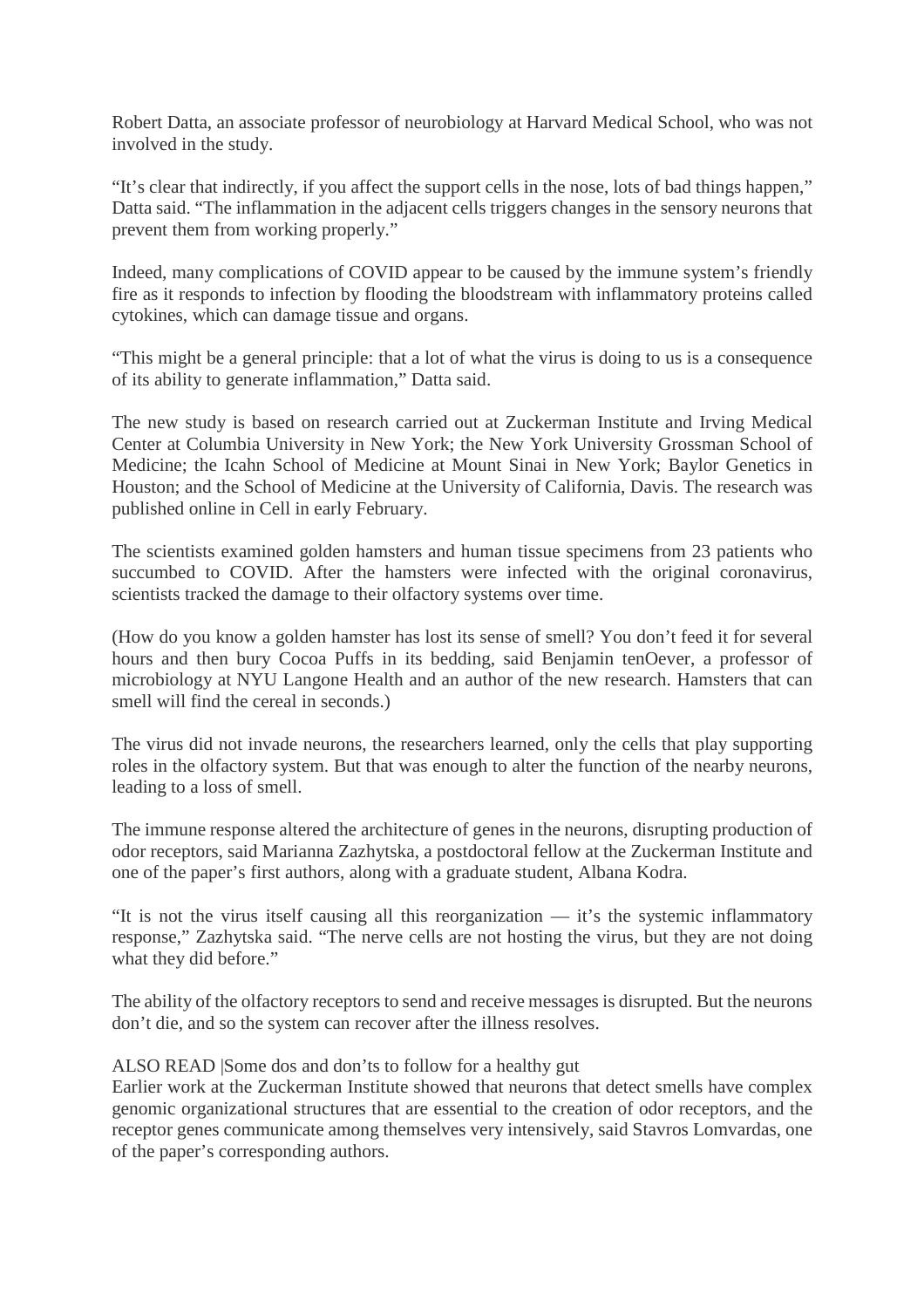Robert Datta, an associate professor of neurobiology at Harvard Medical School, who was not involved in the study.

"It's clear that indirectly, if you affect the support cells in the nose, lots of bad things happen," Datta said. "The inflammation in the adjacent cells triggers changes in the sensory neurons that prevent them from working properly."

Indeed, many complications of COVID appear to be caused by the immune system's friendly fire as it responds to infection by flooding the bloodstream with inflammatory proteins called cytokines, which can damage tissue and organs.

"This might be a general principle: that a lot of what the virus is doing to us is a consequence of its ability to generate inflammation," Datta said.

The new study is based on research carried out at Zuckerman Institute and Irving Medical Center at Columbia University in New York; the New York University Grossman School of Medicine; the Icahn School of Medicine at Mount Sinai in New York; Baylor Genetics in Houston; and the School of Medicine at the University of California, Davis. The research was published online in Cell in early February.

The scientists examined golden hamsters and human tissue specimens from 23 patients who succumbed to COVID. After the hamsters were infected with the original coronavirus, scientists tracked the damage to their olfactory systems over time.

(How do you know a golden hamster has lost its sense of smell? You don't feed it for several hours and then bury Cocoa Puffs in its bedding, said Benjamin tenOever, a professor of microbiology at NYU Langone Health and an author of the new research. Hamsters that can smell will find the cereal in seconds.)

The virus did not invade neurons, the researchers learned, only the cells that play supporting roles in the olfactory system. But that was enough to alter the function of the nearby neurons, leading to a loss of smell.

The immune response altered the architecture of genes in the neurons, disrupting production of odor receptors, said Marianna Zazhytska, a postdoctoral fellow at the Zuckerman Institute and one of the paper's first authors, along with a graduate student, Albana Kodra.

"It is not the virus itself causing all this reorganization — it's the systemic inflammatory response," Zazhytska said. "The nerve cells are not hosting the virus, but they are not doing what they did before."

The ability of the olfactory receptors to send and receive messages is disrupted. But the neurons don't die, and so the system can recover after the illness resolves.

#### ALSO READ |Some dos and don'ts to follow for a healthy gut

Earlier work at the Zuckerman Institute showed that neurons that detect smells have complex genomic organizational structures that are essential to the creation of odor receptors, and the receptor genes communicate among themselves very intensively, said Stavros Lomvardas, one of the paper's corresponding authors.